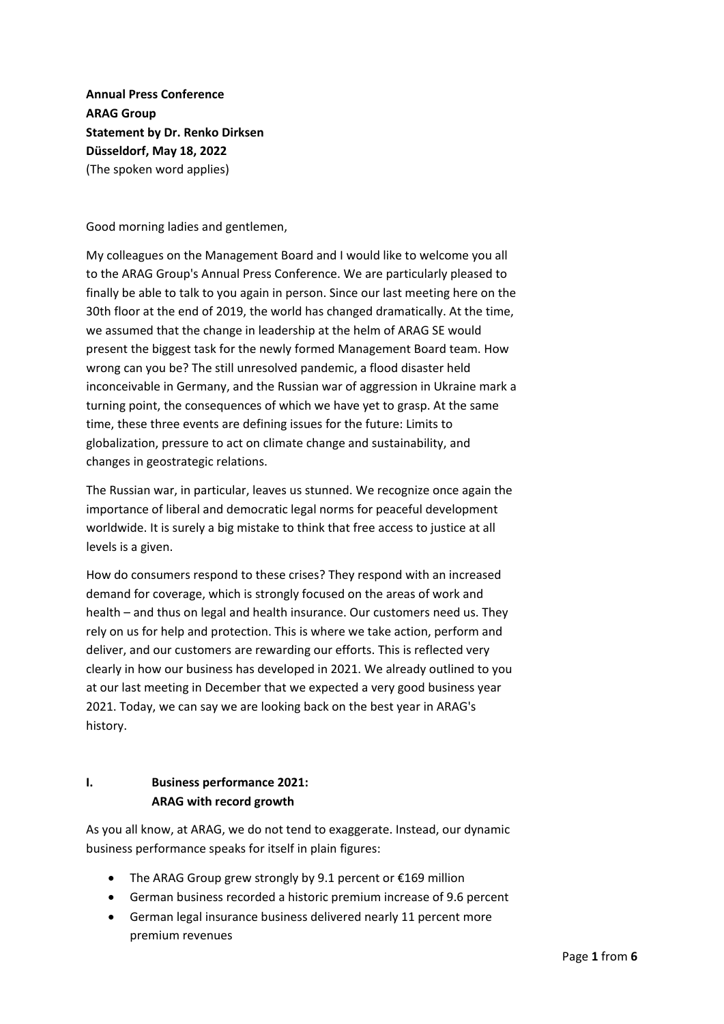**Annual Press Conference ARAG Group Statement by Dr. Renko Dirksen Düsseldorf, May 18, 2022** (The spoken word applies)

Good morning ladies and gentlemen,

My colleagues on the Management Board and I would like to welcome you all to the ARAG Group's Annual Press Conference. We are particularly pleased to finally be able to talk to you again in person. Since our last meeting here on the 30th floor at the end of 2019, the world has changed dramatically. At the time, we assumed that the change in leadership at the helm of ARAG SE would present the biggest task for the newly formed Management Board team. How wrong can you be? The still unresolved pandemic, a flood disaster held inconceivable in Germany, and the Russian war of aggression in Ukraine mark a turning point, the consequences of which we have yet to grasp. At the same time, these three events are defining issues for the future: Limits to globalization, pressure to act on climate change and sustainability, and changes in geostrategic relations.

The Russian war, in particular, leaves us stunned. We recognize once again the importance of liberal and democratic legal norms for peaceful development worldwide. It is surely a big mistake to think that free access to justice at all levels is a given.

How do consumers respond to these crises? They respond with an increased demand for coverage, which is strongly focused on the areas of work and health – and thus on legal and health insurance. Our customers need us. They rely on us for help and protection. This is where we take action, perform and deliver, and our customers are rewarding our efforts. This is reflected very clearly in how our business has developed in 2021. We already outlined to you at our last meeting in December that we expected a very good business year 2021. Today, we can say we are looking back on the best year in ARAG's history.

## **I. Business performance 2021: ARAG with record growth**

As you all know, at ARAG, we do not tend to exaggerate. Instead, our dynamic business performance speaks for itself in plain figures:

- The ARAG Group grew strongly by 9.1 percent or €169 million
- German business recorded a historic premium increase of 9.6 percent
- German legal insurance business delivered nearly 11 percent more premium revenues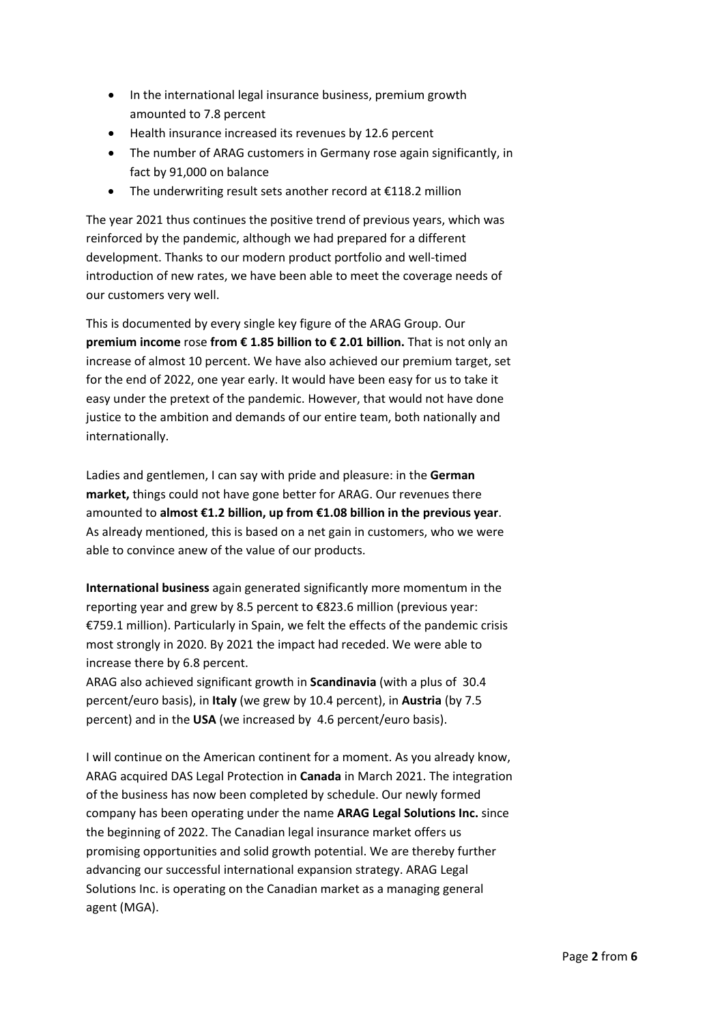- In the international legal insurance business, premium growth amounted to 7.8 percent
- Health insurance increased its revenues by 12.6 percent
- The number of ARAG customers in Germany rose again significantly, in fact by 91,000 on balance
- The underwriting result sets another record at €118.2 million

The year 2021 thus continues the positive trend of previous years, which was reinforced by the pandemic, although we had prepared for a different development. Thanks to our modern product portfolio and well-timed introduction of new rates, we have been able to meet the coverage needs of our customers very well.

This is documented by every single key figure of the ARAG Group. Our **premium income** rose **from € 1.85 billion to € 2.01 billion.** That is not only an increase of almost 10 percent. We have also achieved our premium target, set for the end of 2022, one year early. It would have been easy for us to take it easy under the pretext of the pandemic. However, that would not have done justice to the ambition and demands of our entire team, both nationally and internationally.

Ladies and gentlemen, I can say with pride and pleasure: in the **German market,** things could not have gone better for ARAG. Our revenues there amounted to **almost €1.2 billion, up from €1.08 billion in the previous year**. As already mentioned, this is based on a net gain in customers, who we were able to convince anew of the value of our products.

**International business** again generated significantly more momentum in the reporting year and grew by 8.5 percent to €823.6 million (previous year: €759.1 million). Particularly in Spain, we felt the effects of the pandemic crisis most strongly in 2020. By 2021 the impact had receded. We were able to increase there by 6.8 percent.

ARAG also achieved significant growth in **Scandinavia** (with a plus of 30.4 percent/euro basis), in **Italy** (we grew by 10.4 percent), in **Austria** (by 7.5 percent) and in the **USA** (we increased by 4.6 percent/euro basis).

I will continue on the American continent for a moment. As you already know, ARAG acquired DAS Legal Protection in **Canada** in March 2021. The integration of the business has now been completed by schedule. Our newly formed company has been operating under the name **ARAG Legal Solutions Inc.** since the beginning of 2022. The Canadian legal insurance market offers us promising opportunities and solid growth potential. We are thereby further advancing our successful international expansion strategy. ARAG Legal Solutions Inc. is operating on the Canadian market as a managing general agent (MGA).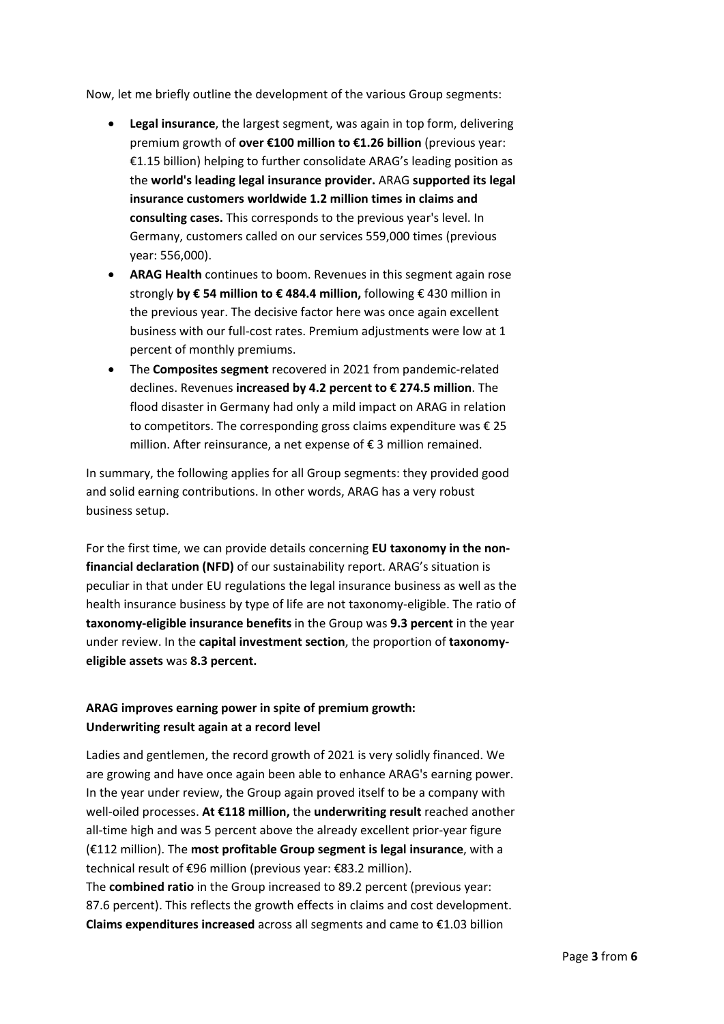Now, let me briefly outline the development of the various Group segments:

- **Legal insurance**, the largest segment, was again in top form, delivering premium growth of **over €100 million to €1.26 billion** (previous year: €1.15 billion) helping to further consolidate ARAG's leading position as the **world's leading legal insurance provider.** ARAG **supported its legal insurance customers worldwide 1.2 million times in claims and consulting cases.** This corresponds to the previous year's level. In Germany, customers called on our services 559,000 times (previous year: 556,000).
- **ARAG Health** continues to boom. Revenues in this segment again rose strongly **by € 54 million to € 484.4 million,** following € 430 million in the previous year. The decisive factor here was once again excellent business with our full-cost rates. Premium adjustments were low at 1 percent of monthly premiums.
- The **Composites segment** recovered in 2021 from pandemic-related declines. Revenues **increased by 4.2 percent to € 274.5 million**. The flood disaster in Germany had only a mild impact on ARAG in relation to competitors. The corresponding gross claims expenditure was  $\epsilon$  25 million. After reinsurance, a net expense of € 3 million remained.

In summary, the following applies for all Group segments: they provided good and solid earning contributions. In other words, ARAG has a very robust business setup.

For the first time, we can provide details concerning **EU taxonomy in the nonfinancial declaration (NFD)** of our sustainability report. ARAG's situation is peculiar in that under EU regulations the legal insurance business as well as the health insurance business by type of life are not taxonomy-eligible. The ratio of **taxonomy-eligible insurance benefits** in the Group was **9.3 percent** in the year under review. In the **capital investment section**, the proportion of **taxonomyeligible assets** was **8.3 percent.** 

## **ARAG improves earning power in spite of premium growth: Underwriting result again at a record level**

Ladies and gentlemen, the record growth of 2021 is very solidly financed. We are growing and have once again been able to enhance ARAG's earning power. In the year under review, the Group again proved itself to be a company with well-oiled processes. **At €118 million,** the **underwriting result** reached another all-time high and was 5 percent above the already excellent prior-year figure (€112 million). The **most profitable Group segment is legal insurance**, with a technical result of €96 million (previous year: €83.2 million).

The **combined ratio** in the Group increased to 89.2 percent (previous year: 87.6 percent). This reflects the growth effects in claims and cost development. **Claims expenditures increased** across all segments and came to €1.03 billion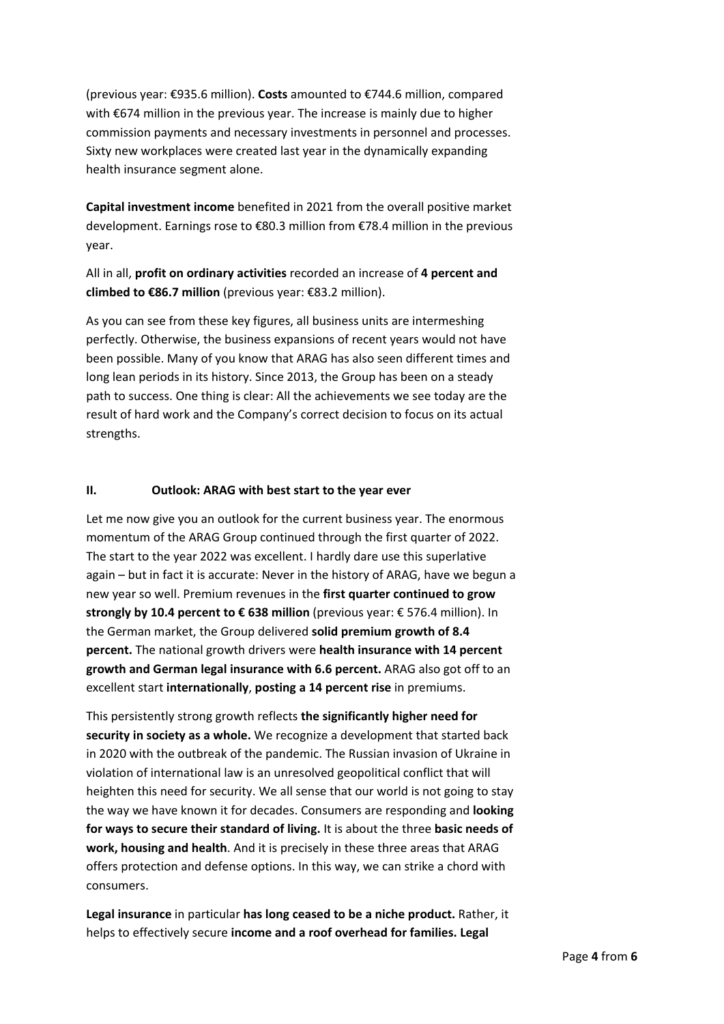(previous year: €935.6 million). **Costs** amounted to €744.6 million, compared with €674 million in the previous year. The increase is mainly due to higher commission payments and necessary investments in personnel and processes. Sixty new workplaces were created last year in the dynamically expanding health insurance segment alone.

**Capital investment income** benefited in 2021 from the overall positive market development. Earnings rose to €80.3 million from €78.4 million in the previous year.

All in all, **profit on ordinary activities** recorded an increase of **4 percent and climbed to €86.7 million** (previous year: €83.2 million).

As you can see from these key figures, all business units are intermeshing perfectly. Otherwise, the business expansions of recent years would not have been possible. Many of you know that ARAG has also seen different times and long lean periods in its history. Since 2013, the Group has been on a steady path to success. One thing is clear: All the achievements we see today are the result of hard work and the Company's correct decision to focus on its actual strengths.

## **II. Outlook: ARAG with best start to the year ever**

Let me now give you an outlook for the current business year. The enormous momentum of the ARAG Group continued through the first quarter of 2022. The start to the year 2022 was excellent. I hardly dare use this superlative again – but in fact it is accurate: Never in the history of ARAG, have we begun a new year so well. Premium revenues in the **first quarter continued to grow strongly by 10.4 percent to € 638 million** (previous year: € 576.4 million). In the German market, the Group delivered **solid premium growth of 8.4 percent.** The national growth drivers were **health insurance with 14 percent growth and German legal insurance with 6.6 percent.** ARAG also got off to an excellent start **internationally**, **posting a 14 percent rise** in premiums.

This persistently strong growth reflects **the significantly higher need for security in society as a whole.** We recognize a development that started back in 2020 with the outbreak of the pandemic. The Russian invasion of Ukraine in violation of international law is an unresolved geopolitical conflict that will heighten this need for security. We all sense that our world is not going to stay the way we have known it for decades. Consumers are responding and **looking for ways to secure their standard of living.** It is about the three **basic needs of work, housing and health**. And it is precisely in these three areas that ARAG offers protection and defense options. In this way, we can strike a chord with consumers.

**Legal insurance** in particular **has long ceased to be a niche product.** Rather, it helps to effectively secure **income and a roof overhead for families. Legal**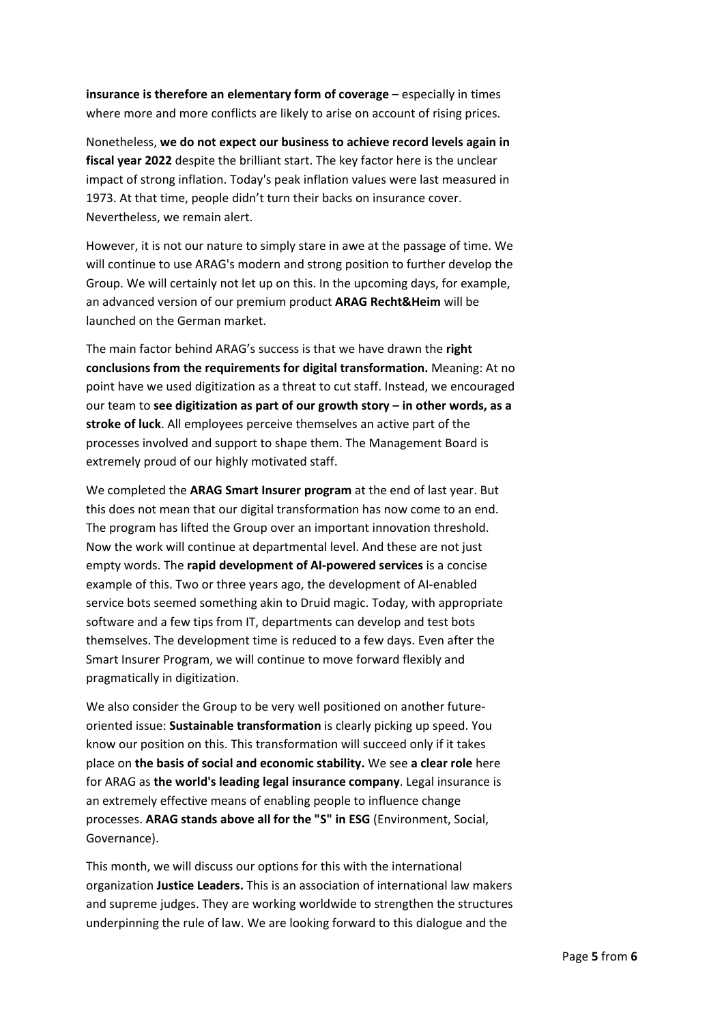**insurance is therefore an elementary form of coverage** – especially in times where more and more conflicts are likely to arise on account of rising prices.

Nonetheless, **we do not expect our business to achieve record levels again in fiscal year 2022** despite the brilliant start. The key factor here is the unclear impact of strong inflation. Today's peak inflation values were last measured in 1973. At that time, people didn't turn their backs on insurance cover. Nevertheless, we remain alert.

However, it is not our nature to simply stare in awe at the passage of time. We will continue to use ARAG's modern and strong position to further develop the Group. We will certainly not let up on this. In the upcoming days, for example, an advanced version of our premium product **ARAG Recht&Heim** will be launched on the German market.

The main factor behind ARAG's success is that we have drawn the **right conclusions from the requirements for digital transformation.** Meaning: At no point have we used digitization as a threat to cut staff. Instead, we encouraged our team to **see digitization as part of our growth story – in other words, as a stroke of luck**. All employees perceive themselves an active part of the processes involved and support to shape them. The Management Board is extremely proud of our highly motivated staff.

We completed the **ARAG Smart Insurer program** at the end of last year. But this does not mean that our digital transformation has now come to an end. The program has lifted the Group over an important innovation threshold. Now the work will continue at departmental level. And these are not just empty words. The **rapid development of AI-powered services** is a concise example of this. Two or three years ago, the development of AI-enabled service bots seemed something akin to Druid magic. Today, with appropriate software and a few tips from IT, departments can develop and test bots themselves. The development time is reduced to a few days. Even after the Smart Insurer Program, we will continue to move forward flexibly and pragmatically in digitization.

We also consider the Group to be very well positioned on another futureoriented issue: **Sustainable transformation** is clearly picking up speed. You know our position on this. This transformation will succeed only if it takes place on **the basis of social and economic stability.** We see **a clear role** here for ARAG as **the world's leading legal insurance company**. Legal insurance is an extremely effective means of enabling people to influence change processes. **ARAG stands above all for the "S" in ESG** (Environment, Social, Governance).

This month, we will discuss our options for this with the international organization **Justice Leaders.** This is an association of international law makers and supreme judges. They are working worldwide to strengthen the structures underpinning the rule of law. We are looking forward to this dialogue and the